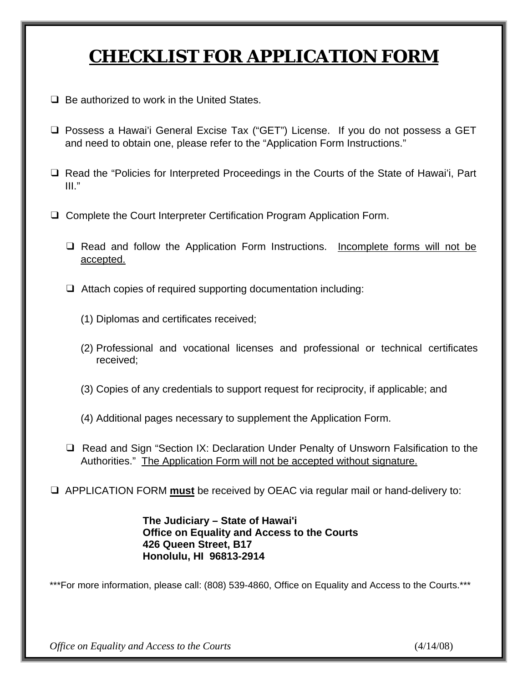# **CHECKLIST FOR APPLICATION FORM**

- ❑ Be authorized to work in the United States.
- ❑ Possess a Hawai'i General Excise Tax ("GET") License. If you do not possess a GET and need to obtain one, please refer to the "Application Form Instructions."
- ❑ Read the "Policies for Interpreted Proceedings in the Courts of the State of Hawai'i, Part III."
- ❑ Complete the Court Interpreter Certification Program Application Form.
	- ❑ Read and follow the Application Form Instructions. Incomplete forms will not be accepted.
	- ❑ Attach copies of required supporting documentation including:
		- (1) Diplomas and certificates received;
		- (2) Professional and vocational licenses and professional or technical certificates received;
		- (3) Copies of any credentials to support request for reciprocity, if applicable; and
		- (4) Additional pages necessary to supplement the Application Form.
	- ❑ Read and Sign "Section IX: Declaration Under Penalty of Unsworn Falsification to the Authorities." The Application Form will not be accepted without signature.
- ❑ APPLICATION FORM **must** be received by OEAC via regular mail or hand-delivery to:

**The Judiciary – State of Hawai'i Office on Equality and Access to the Courts 426 Queen Street, B17 Honolulu, HI 96813-2914** 

\*\*\*For more information, please call: (808) 539-4860, Office on Equality and Access to the Courts.\*\*\*

*Office on Equality and Access to the Courts*  $(4/14/08)$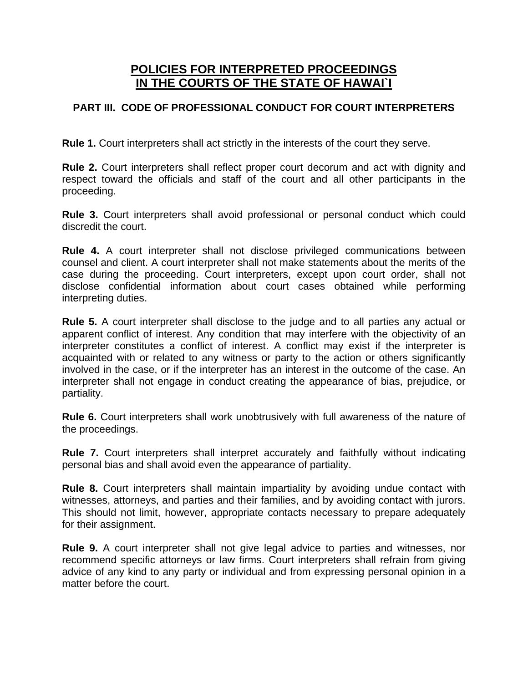#### **POLICIES FOR INTERPRETED PROCEEDINGS IN THE COURTS OF THE STATE OF HAWAI`I**

#### **PART III. CODE OF PROFESSIONAL CONDUCT FOR COURT INTERPRETERS**

**Rule 1.** Court interpreters shall act strictly in the interests of the court they serve.

**Rule 2.** Court interpreters shall reflect proper court decorum and act with dignity and respect toward the officials and staff of the court and all other participants in the proceeding.

**Rule 3.** Court interpreters shall avoid professional or personal conduct which could discredit the court.

**Rule 4.** A court interpreter shall not disclose privileged communications between counsel and client. A court interpreter shall not make statements about the merits of the case during the proceeding. Court interpreters, except upon court order, shall not disclose confidential information about court cases obtained while performing interpreting duties.

**Rule 5.** A court interpreter shall disclose to the judge and to all parties any actual or apparent conflict of interest. Any condition that may interfere with the objectivity of an interpreter constitutes a conflict of interest. A conflict may exist if the interpreter is acquainted with or related to any witness or party to the action or others significantly involved in the case, or if the interpreter has an interest in the outcome of the case. An interpreter shall not engage in conduct creating the appearance of bias, prejudice, or partiality.

**Rule 6.** Court interpreters shall work unobtrusively with full awareness of the nature of the proceedings.

**Rule 7.** Court interpreters shall interpret accurately and faithfully without indicating personal bias and shall avoid even the appearance of partiality.

**Rule 8.** Court interpreters shall maintain impartiality by avoiding undue contact with witnesses, attorneys, and parties and their families, and by avoiding contact with jurors. This should not limit, however, appropriate contacts necessary to prepare adequately for their assignment.

**Rule 9.** A court interpreter shall not give legal advice to parties and witnesses, nor recommend specific attorneys or law firms. Court interpreters shall refrain from giving advice of any kind to any party or individual and from expressing personal opinion in a matter before the court.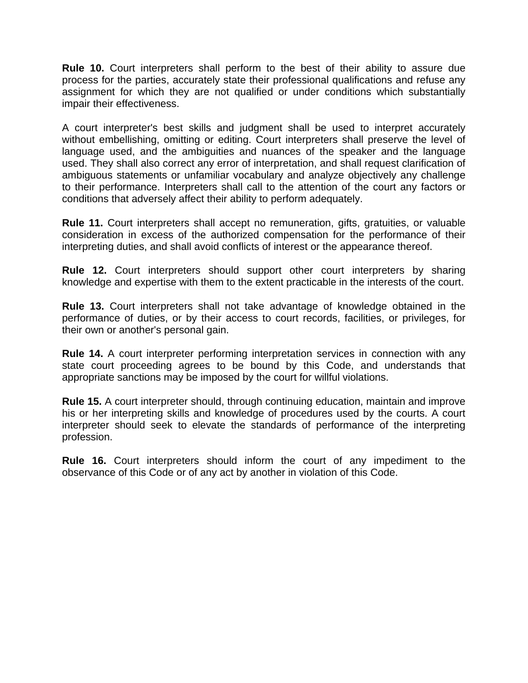**Rule 10.** Court interpreters shall perform to the best of their ability to assure due process for the parties, accurately state their professional qualifications and refuse any assignment for which they are not qualified or under conditions which substantially impair their effectiveness.

A court interpreter's best skills and judgment shall be used to interpret accurately without embellishing, omitting or editing. Court interpreters shall preserve the level of language used, and the ambiguities and nuances of the speaker and the language used. They shall also correct any error of interpretation, and shall request clarification of ambiguous statements or unfamiliar vocabulary and analyze objectively any challenge to their performance. Interpreters shall call to the attention of the court any factors or conditions that adversely affect their ability to perform adequately.

**Rule 11.** Court interpreters shall accept no remuneration, gifts, gratuities, or valuable consideration in excess of the authorized compensation for the performance of their interpreting duties, and shall avoid conflicts of interest or the appearance thereof.

**Rule 12.** Court interpreters should support other court interpreters by sharing knowledge and expertise with them to the extent practicable in the interests of the court.

**Rule 13.** Court interpreters shall not take advantage of knowledge obtained in the performance of duties, or by their access to court records, facilities, or privileges, for their own or another's personal gain.

**Rule 14.** A court interpreter performing interpretation services in connection with any state court proceeding agrees to be bound by this Code, and understands that appropriate sanctions may be imposed by the court for willful violations.

**Rule 15.** A court interpreter should, through continuing education, maintain and improve his or her interpreting skills and knowledge of procedures used by the courts. A court interpreter should seek to elevate the standards of performance of the interpreting profession.

**Rule 16.** Court interpreters should inform the court of any impediment to the observance of this Code or of any act by another in violation of this Code.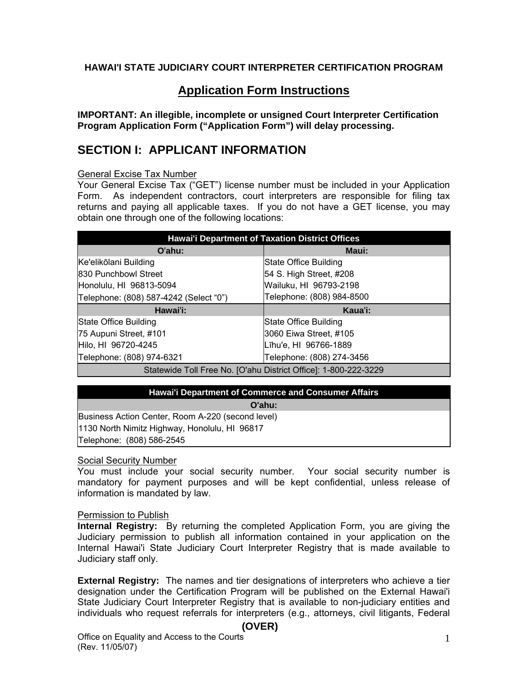#### **HAWAI'I STATE JUDICIARY COURT INTERPRETER CERTIFICATION PROGRAM**

#### **Application Form Instructions**

**IMPORTANT: An illegible, incomplete or unsigned Court Interpreter Certification Program Application Form ("Application Form") will delay processing.** 

#### **SECTION I: APPLICANT INFORMATION**

General Excise Tax Number

Your General Excise Tax ("GET") license number must be included in your Application Form. As independent contractors, court interpreters are responsible for filing tax returns and paying all applicable taxes. If you do not have a GET license, you may obtain one through one of the following locations:

| <b>Hawai'i Department of Taxation District Offices</b> |                           |  |  |  |  |
|--------------------------------------------------------|---------------------------|--|--|--|--|
| O'ahu:                                                 | Maui:                     |  |  |  |  |
| Ke'elikōlani Building                                  | State Office Building     |  |  |  |  |
| 830 Punchbowl Street                                   | 54 S. High Street, #208   |  |  |  |  |
| Honolulu, HI 96813-5094                                | Wailuku, HI 96793-2198    |  |  |  |  |
| Telephone: (808) 587-4242 (Select "0")                 | Telephone: (808) 984-8500 |  |  |  |  |
|                                                        |                           |  |  |  |  |
| Hawai'i:                                               | Kaua'i:                   |  |  |  |  |
| State Office Building                                  | State Office Building     |  |  |  |  |
| 75 Aupuni Street, #101                                 | 3060 Eiwa Street, #105    |  |  |  |  |
| Hilo, HI 96720-4245                                    | Līhu'e, HI 96766-1889     |  |  |  |  |
| Telephone: (808) 974-6321                              | Telephone: (808) 274-3456 |  |  |  |  |

# **Hawai'i Department of Commerce and Consumer Affairs**

#### **O'ahu:**

Business Action Center, Room A-220 (second level) 1130 North Nimitz Highway, Honolulu, HI 96817 Telephone: (808) 586-2545

#### Social Security Number

You must include your social security number. Your social security number is mandatory for payment purposes and will be kept confidential, unless release of information is mandated by law.

#### Permission to Publish

**Internal Registry:** By returning the completed Application Form, you are giving the Judiciary permission to publish all information contained in your application on the Internal Hawai'i State Judiciary Court Interpreter Registry that is made available to Judiciary staff only.

**External Registry:** The names and tier designations of interpreters who achieve a tier designation under the Certification Program will be published on the External Hawai'i State Judiciary Court Interpreter Registry that is available to non-judiciary entities and individuals who request referrals for interpreters (e.g., attorneys, civil litigants, Federal

#### **(OVER)**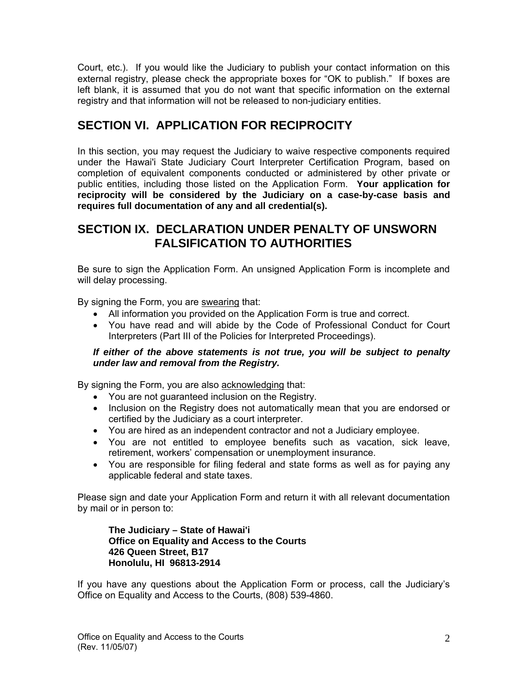Court, etc.). If you would like the Judiciary to publish your contact information on this external registry, please check the appropriate boxes for "OK to publish." If boxes are left blank, it is assumed that you do not want that specific information on the external registry and that information will not be released to non-judiciary entities.

# **SECTION VI. APPLICATION FOR RECIPROCITY**

In this section, you may request the Judiciary to waive respective components required under the Hawai'i State Judiciary Court Interpreter Certification Program, based on completion of equivalent components conducted or administered by other private or public entities, including those listed on the Application Form. **Your application for reciprocity will be considered by the Judiciary on a case-by-case basis and requires full documentation of any and all credential(s).** 

## **SECTION IX. DECLARATION UNDER PENALTY OF UNSWORN FALSIFICATION TO AUTHORITIES**

Be sure to sign the Application Form. An unsigned Application Form is incomplete and will delay processing.

By signing the Form, you are swearing that:

- All information you provided on the Application Form is true and correct.
- You have read and will abide by the Code of Professional Conduct for Court Interpreters (Part III of the Policies for Interpreted Proceedings).

#### *If either of the above statements is not true, you will be subject to penalty under law and removal from the Registry.*

By signing the Form, you are also **acknowledging that:** 

- You are not guaranteed inclusion on the Registry.
- Inclusion on the Registry does not automatically mean that you are endorsed or certified by the Judiciary as a court interpreter.
- You are hired as an independent contractor and not a Judiciary employee.
- You are not entitled to employee benefits such as vacation, sick leave, retirement, workers' compensation or unemployment insurance.
- You are responsible for filing federal and state forms as well as for paying any applicable federal and state taxes.

Please sign and date your Application Form and return it with all relevant documentation by mail or in person to:

**The Judiciary – State of Hawai'i Office on Equality and Access to the Courts 426 Queen Street, B17 Honolulu, HI 96813-2914** 

If you have any questions about the Application Form or process, call the Judiciary's Office on Equality and Access to the Courts, (808) 539-4860.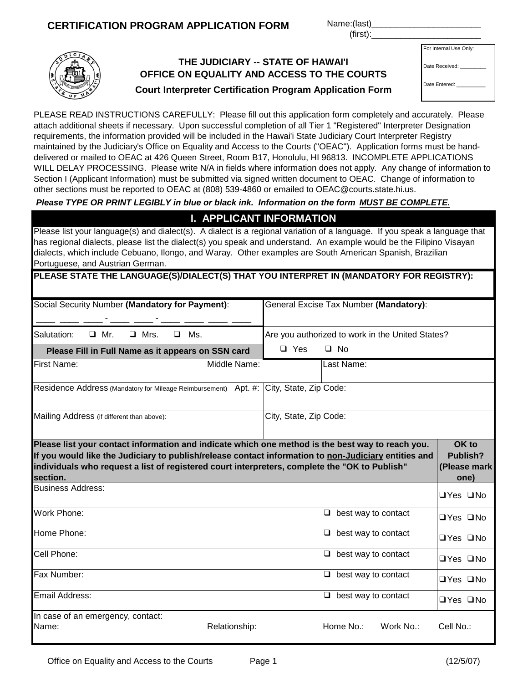#### **CERTIFICATION PROGRAM APPLICATION FORM Name:(last)**

 $(first):$ 

Email Address:

In case of an emergency, contact:

## **THE JUDICIARY -- STATE OF HAWAI'I OFFICE ON EQUALITY AND ACCESS TO THE COURTS**

| For Internal Use Only: |  |  |
|------------------------|--|--|
|                        |  |  |

Date Received:

Date Entered:

| <b>Court Interpreter Certification Program Application Form</b> |  |  |
|-----------------------------------------------------------------|--|--|

PLEASE READ INSTRUCTIONS CAREFULLY: Please fill out this application form completely and accurately. Please attach additional sheets if necessary. Upon successful completion of all Tier 1 "Registered" Interpreter Designation requirements, the information provided will be included in the Hawai'i State Judiciary Court Interpreter Registry maintained by the Judiciary's Office on Equality and Access to the Courts ("OEAC"). Application forms must be handdelivered or mailed to OEAC at 426 Queen Street, Room B17, Honolulu, HI 96813. INCOMPLETE APPLICATIONS WILL DELAY PROCESSING. Please write N/A in fields where information does not apply. Any change of information to Section I (Applicant Information) must be submitted via signed written document to OEAC. Change of information to other sections must be reported to OEAC at (808) 539-4860 or emailed to OEAC@courts.state.hi.us.

 *Please TYPE OR PRINT LEGIBLY in blue or black ink. Information on the form MUST BE COMPLETE.*

# **I. APPLICANT INFORMATION**

Please list your language(s) and dialect(s). A dialect is a regional variation of a language. If you speak a language that has regional dialects, please list the dialect(s) you speak and understand. An example would be the Filipino Visayan dialects, which include Cebuano, Ilongo, and Waray. Other examples are South American Spanish, Brazilian Portuguese, and Austrian German.

| Portuguese, and Austrian German.                                                                                                                                                                                                                                                                                      |              |                        |                                                  |                                           |
|-----------------------------------------------------------------------------------------------------------------------------------------------------------------------------------------------------------------------------------------------------------------------------------------------------------------------|--------------|------------------------|--------------------------------------------------|-------------------------------------------|
| PLEASE STATE THE LANGUAGE(S)/DIALECT(S) THAT YOU INTERPRET IN (MANDATORY FOR REGISTRY):                                                                                                                                                                                                                               |              |                        |                                                  |                                           |
| Social Security Number (Mandatory for Payment):                                                                                                                                                                                                                                                                       |              |                        | General Excise Tax Number (Mandatory):           |                                           |
| Salutation:<br>Ms.<br>Mr.<br>$\Box$ Mrs.<br>$\Box$<br>□                                                                                                                                                                                                                                                               |              |                        | Are you authorized to work in the United States? |                                           |
| Please Fill in Full Name as it appears on SSN card                                                                                                                                                                                                                                                                    |              | $\Box$ Yes             | $\Box$ No                                        |                                           |
| <b>First Name:</b>                                                                                                                                                                                                                                                                                                    | Middle Name: |                        | Last Name:                                       |                                           |
| Residence Address (Mandatory for Mileage Reimbursement) Apt. #:                                                                                                                                                                                                                                                       |              | City, State, Zip Code: |                                                  |                                           |
| Mailing Address (if different than above):                                                                                                                                                                                                                                                                            |              | City, State, Zip Code: |                                                  |                                           |
| Please list your contact information and indicate which one method is the best way to reach you.<br>If you would like the Judiciary to publish/release contact information to non-Judiciary entities and<br>individuals who request a list of registered court interpreters, complete the "OK to Publish"<br>section. |              |                        |                                                  | OK to<br>Publish?<br>(Please mark<br>one) |
| <b>Business Address:</b>                                                                                                                                                                                                                                                                                              |              |                        |                                                  | $\Box$ Yes $\Box$ No                      |
| Work Phone:                                                                                                                                                                                                                                                                                                           |              |                        | best way to contact<br>Q.                        | $\Box$ Yes $\Box$ No                      |
| Home Phone:                                                                                                                                                                                                                                                                                                           |              |                        | $\Box$ best way to contact                       | $\Box$ Yes $\Box$ No                      |
| Cell Phone:                                                                                                                                                                                                                                                                                                           |              |                        | $\Box$ best way to contact                       | $\Box$ Yes $\Box$ No                      |
| Fax Number:                                                                                                                                                                                                                                                                                                           |              |                        | $\Box$ best way to contact                       | $\Box$ Yes $\Box$ No                      |

Name: The Communication of the Relationship: The Home No.: Work No.: Cell No.: Cell No.:

❑Yes ❑No

❑ best way to contact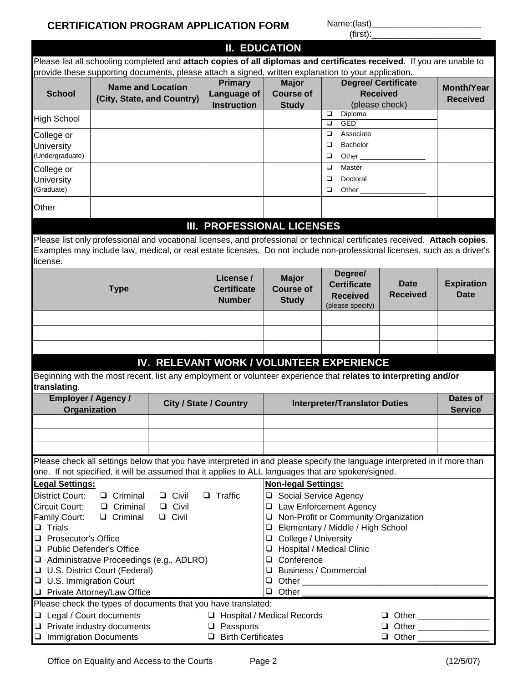## **CERTIFICATION PROGRAM APPLICATION FORM Name:(last)\_**

 $(iirst)$ :

|                                             |                                                                                                                                    |                            | <b>II. EDUCATION</b>                                          |                            |                                                                                                                            |                            |                   |
|---------------------------------------------|------------------------------------------------------------------------------------------------------------------------------------|----------------------------|---------------------------------------------------------------|----------------------------|----------------------------------------------------------------------------------------------------------------------------|----------------------------|-------------------|
|                                             |                                                                                                                                    |                            |                                                               |                            | Please list all schooling completed and attach copies of all diplomas and certificates received. If you are unable to      |                            |                   |
|                                             |                                                                                                                                    |                            |                                                               |                            | provide these supporting documents, please attach a signed, written explanation to your application.                       |                            |                   |
|                                             |                                                                                                                                    | <b>Name and Location</b>   | <b>Primary</b>                                                | <b>Major</b>               |                                                                                                                            | <b>Degree/ Certificate</b> | <b>Month/Year</b> |
| <b>School</b>                               |                                                                                                                                    | (City, State, and Country) | Language of                                                   | <b>Course of</b>           |                                                                                                                            | <b>Received</b>            | <b>Received</b>   |
|                                             |                                                                                                                                    |                            | <b>Instruction</b>                                            | <b>Study</b>               |                                                                                                                            | (please check)             |                   |
| <b>High School</b>                          |                                                                                                                                    |                            |                                                               |                            | ❏<br>Diploma<br>$\Box$<br><b>GED</b>                                                                                       |                            |                   |
| College or                                  |                                                                                                                                    |                            |                                                               |                            | Associate<br>$\Box$                                                                                                        |                            |                   |
| University                                  |                                                                                                                                    |                            |                                                               |                            | Bachelor<br>❏                                                                                                              |                            |                   |
| (Undergraduate)                             |                                                                                                                                    |                            |                                                               |                            | ❏<br>Other $\_\_$                                                                                                          |                            |                   |
| College or                                  |                                                                                                                                    |                            |                                                               |                            | ▫<br>Master                                                                                                                |                            |                   |
| University                                  |                                                                                                                                    |                            |                                                               |                            | ▫<br>Doctoral                                                                                                              |                            |                   |
| (Graduate)                                  |                                                                                                                                    |                            |                                                               |                            | $\Box$<br>Other $\_\_$                                                                                                     |                            |                   |
|                                             |                                                                                                                                    |                            |                                                               |                            |                                                                                                                            |                            |                   |
| Other                                       |                                                                                                                                    |                            |                                                               |                            |                                                                                                                            |                            |                   |
|                                             |                                                                                                                                    |                            | III. PROFESSIONAL LICENSES                                    |                            |                                                                                                                            |                            |                   |
|                                             |                                                                                                                                    |                            |                                                               |                            |                                                                                                                            |                            |                   |
|                                             |                                                                                                                                    |                            |                                                               |                            | Please list only professional and vocational licenses, and professional or technical certificates received. Attach copies. |                            |                   |
|                                             |                                                                                                                                    |                            |                                                               |                            | Examples may include law, medical, or real estate licenses. Do not include non-professional licenses, such as a driver's   |                            |                   |
| license.                                    |                                                                                                                                    |                            |                                                               |                            |                                                                                                                            |                            |                   |
|                                             |                                                                                                                                    |                            | License /                                                     | <b>Major</b>               | Degree/                                                                                                                    |                            |                   |
|                                             | <b>Type</b>                                                                                                                        |                            | <b>Certificate</b>                                            | <b>Course of</b>           | <b>Certificate</b>                                                                                                         | <b>Date</b>                | <b>Expiration</b> |
|                                             |                                                                                                                                    |                            | <b>Number</b>                                                 | <b>Study</b>               | <b>Received</b>                                                                                                            | <b>Received</b>            | <b>Date</b>       |
|                                             |                                                                                                                                    |                            |                                                               |                            | (please specify)                                                                                                           |                            |                   |
|                                             |                                                                                                                                    |                            |                                                               |                            |                                                                                                                            |                            |                   |
|                                             |                                                                                                                                    |                            |                                                               |                            |                                                                                                                            |                            |                   |
|                                             |                                                                                                                                    |                            |                                                               |                            |                                                                                                                            |                            |                   |
|                                             |                                                                                                                                    |                            |                                                               |                            |                                                                                                                            |                            |                   |
|                                             |                                                                                                                                    |                            |                                                               |                            | IV. RELEVANT WORK / VOLUNTEER EXPERIENCE                                                                                   |                            |                   |
|                                             |                                                                                                                                    |                            |                                                               |                            | Beginning with the most recent, list any employment or volunteer experience that relates to interpreting and/or            |                            |                   |
| translating.                                |                                                                                                                                    |                            |                                                               |                            |                                                                                                                            |                            |                   |
|                                             | <b>Employer / Agency /</b>                                                                                                         |                            | <b>City / State / Country</b>                                 |                            | <b>Interpreter/Translator Duties</b>                                                                                       |                            | Dates of          |
|                                             | <b>Organization</b>                                                                                                                |                            |                                                               |                            |                                                                                                                            |                            | <b>Service</b>    |
|                                             |                                                                                                                                    |                            |                                                               |                            |                                                                                                                            |                            |                   |
|                                             |                                                                                                                                    |                            |                                                               |                            |                                                                                                                            |                            |                   |
|                                             |                                                                                                                                    |                            |                                                               |                            |                                                                                                                            |                            |                   |
|                                             |                                                                                                                                    |                            |                                                               |                            | Please check all settings below that you have interpreted in and please specify the language interpreted in if more than   |                            |                   |
|                                             |                                                                                                                                    |                            |                                                               |                            | one. If not specified, it will be assumed that it applies to ALL languages that are spoken/signed.                         |                            |                   |
|                                             |                                                                                                                                    |                            |                                                               |                            |                                                                                                                            |                            |                   |
| <b>Legal Settings:</b>                      |                                                                                                                                    |                            |                                                               | <b>Non-legal Settings:</b> |                                                                                                                            |                            |                   |
| District Court:                             | $\Box$ Criminal                                                                                                                    | $\Box$ Civil               | $\Box$ Traffic                                                | □ Social Service Agency    |                                                                                                                            |                            |                   |
| Circuit Court:                              | $\Box$ Criminal                                                                                                                    | $\Box$ Civil               |                                                               |                            | <b>Q</b> Law Enforcement Agency                                                                                            |                            |                   |
| Family Court:                               | $\Box$ Criminal                                                                                                                    | $\Box$ Civil               |                                                               | $\Box$                     | Non-Profit or Community Organization                                                                                       |                            |                   |
| $\Box$ Trials<br><b>Prosecutor's Office</b> |                                                                                                                                    |                            |                                                               | ❏                          | Elementary / Middle / High School                                                                                          |                            |                   |
|                                             |                                                                                                                                    | College / University<br>□  |                                                               |                            |                                                                                                                            |                            |                   |
|                                             | <b>Public Defender's Office</b><br><b>Hospital / Medical Clinic</b><br>□<br>Conference<br>Administrative Proceedings (e.g., ADLRO) |                            |                                                               |                            |                                                                                                                            |                            |                   |
|                                             | □ U.S. District Court (Federal)                                                                                                    |                            | $\Box$<br><b>Business / Commercial</b><br>Q                   |                            |                                                                                                                            |                            |                   |
| <b>U.S. Immigration Court</b>               |                                                                                                                                    |                            |                                                               | $\Box$                     |                                                                                                                            |                            |                   |
|                                             | Private Attorney/Law Office                                                                                                        |                            |                                                               | Other<br>$\Box$            |                                                                                                                            |                            |                   |
|                                             |                                                                                                                                    |                            | Please check the types of documents that you have translated: |                            |                                                                                                                            |                            |                   |
| □ Legal / Court documents                   |                                                                                                                                    |                            |                                                               |                            |                                                                                                                            |                            |                   |
|                                             | $\Box$ Private industry documents                                                                                                  |                            | □ Hospital / Medical Records<br>$\Box$ Passports              |                            |                                                                                                                            |                            |                   |
| ❏                                           | <b>Immigration Documents</b>                                                                                                       |                            | $\Box$ Birth Certificates                                     |                            |                                                                                                                            |                            |                   |
|                                             |                                                                                                                                    |                            |                                                               |                            |                                                                                                                            |                            |                   |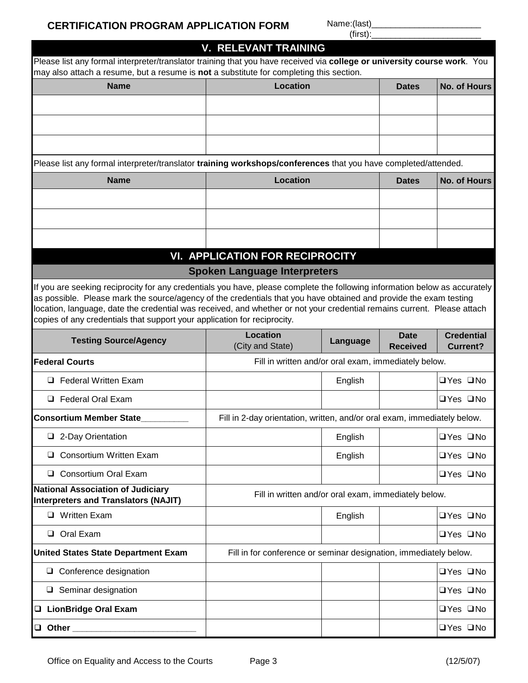$(first)$ :

# Dates | No. of Hours **Name Location** Please list any formal interpreter/translator **training workshops/conferences** that you have completed/attended. Please list any formal interpreter/translator training that you have received via **college or university course work**. You may also attach a resume, but a resume is **not** a substitute for completing this section. **V. RELEVANT TRAINING**

| <b>Name</b> | Location | <b>Dates</b> | No. of Hours |  |  |
|-------------|----------|--------------|--------------|--|--|
|             |          |              |              |  |  |
|             |          |              |              |  |  |
|             |          |              |              |  |  |

# **Spoken Language Interpreters VI. APPLICATION FOR RECIPROCITY**

If you are seeking reciprocity for any credentials you have, please complete the following information below as accurately as possible. Please mark the source/agency of the credentials that you have obtained and provide the exam testing location, language, date the credential was received, and whether or not your credential remains current. Please attach copies of any credentials that support your application for reciprocity copies of any credentials that support your application for reciprocity.

| <b>Testing Source/Agency</b>                                                            | Location<br>(City and State)                                             | Language | <b>Date</b><br><b>Received</b> | <b>Credential</b><br><b>Current?</b> |
|-----------------------------------------------------------------------------------------|--------------------------------------------------------------------------|----------|--------------------------------|--------------------------------------|
| <b>Federal Courts</b>                                                                   | Fill in written and/or oral exam, immediately below.                     |          |                                |                                      |
| <b>Federal Written Exam</b><br>$\Box$                                                   |                                                                          | English  |                                | $\Box$ Yes $\Box$ No                 |
| Federal Oral Exam<br>□                                                                  |                                                                          |          |                                | $\Box$ Yes $\Box$ No                 |
| <b>Consortium Member State</b>                                                          | Fill in 2-day orientation, written, and/or oral exam, immediately below. |          |                                |                                      |
| 2-Day Orientation<br>❏                                                                  |                                                                          | English  |                                | $\Box$ Yes $\Box$ No                 |
| Consortium Written Exam<br>❏                                                            |                                                                          | English  |                                | $\Box$ Yes $\Box$ No                 |
| Consortium Oral Exam<br>□                                                               |                                                                          |          |                                | $\Box$ Yes $\Box$ No                 |
| <b>National Association of Judiciary</b><br><b>Interpreters and Translators (NAJIT)</b> | Fill in written and/or oral exam, immediately below.                     |          |                                |                                      |
| <b>Written Exam</b><br>$\Box$                                                           |                                                                          | English  |                                | □Yes □No                             |
| Oral Exam<br>□                                                                          |                                                                          |          |                                | $\Box$ Yes $\Box$ No                 |
| <b>United States State Department Exam</b>                                              | Fill in for conference or seminar designation, immediately below.        |          |                                |                                      |
| Conference designation<br>□                                                             |                                                                          |          |                                | $\Box$ Yes $\Box$ No                 |
| Seminar designation<br>u                                                                |                                                                          |          |                                | $\Box$ Yes $\Box$ No                 |
| <b>LionBridge Oral Exam</b><br>$\Box$                                                   |                                                                          |          |                                | $\Box$ Yes $\Box$ No                 |
| Other<br>O                                                                              |                                                                          |          |                                | $\Box$ Yes $\Box$ No                 |